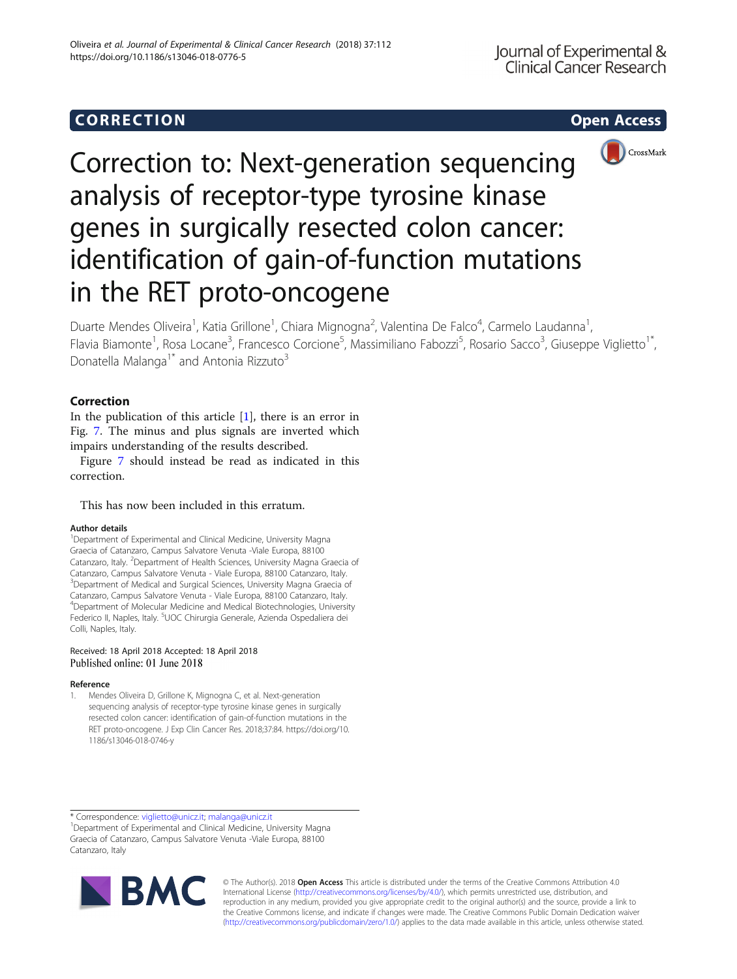# CORR EC TION Op[en](http://crossmark.crossref.org/dialog/?doi=10.1186/s13046-018-0776-5&domain=pdf) [Access](http://crossmark.crossref.org/dialog/?doi=10.1186/s13046-018-0776-5&domain=pdf)



Correction to: Next-generation sequencing analysis of receptor-type tyrosine kinase genes in surgically resected colon cancer: identification of gain-of-function mutations in the RET proto-oncogene

Duarte Mendes Oliveira<sup>1</sup>, Katia Grillone<sup>1</sup>, Chiara Mignogna<sup>2</sup>, Valentina De Falco<sup>4</sup>, Carmelo Laudanna<sup>1</sup> , Flavia Biamonte<sup>1</sup>, Rosa Locane<sup>3</sup>, Francesco Corcione<sup>5</sup>, Massimiliano Fabozzi<sup>5</sup>, Rosario Sacco<sup>3</sup>, Giuseppe Viglietto<sup>1\*</sup>, Donatella Malanga<sup>1\*</sup> and Antonia Rizzuto<sup>3</sup>

## Correction

In the publication of this article [1], there is an error in Fig. [7.](#page-1-0) The minus and plus signals are inverted which impairs understanding of the results described.

Figure [7](#page-1-0) should instead be read as indicated in this correction.

This has now been included in this erratum.

#### Author details

<sup>1</sup>Department of Experimental and Clinical Medicine, University Magna Graecia of Catanzaro, Campus Salvatore Venuta -Viale Europa, 88100 Catanzaro, Italy. <sup>2</sup>Department of Health Sciences, University Magna Graecia of Catanzaro, Campus Salvatore Venuta - Viale Europa, 88100 Catanzaro, Italy. <sup>3</sup>Department of Medical and Surgical Sciences, University Magna Graecia of Catanzaro, Campus Salvatore Venuta - Viale Europa, 88100 Catanzaro, Italy. 4 Department of Molecular Medicine and Medical Biotechnologies, University Federico II, Naples, Italy. <sup>5</sup>UOC Chirurgia Generale, Azienda Ospedaliera dei Colli, Naples, Italy.

### Received: 18 April 2018 Accepted: 18 April 2018 Published online: 01 June 2018

#### Reference

1. Mendes Oliveira D, Grillone K, Mignogna C, et al. Next-generation sequencing analysis of receptor-type tyrosine kinase genes in surgically resected colon cancer: identification of gain-of-function mutations in the RET proto-oncogene. J Exp Clin Cancer Res. 2018;37:84. https://doi.org/10. 1186/s13046-018-0746-y

\* Correspondence: [viglietto@unicz.it;](mailto:viglietto@unicz.it) [malanga@unicz.it](mailto:malanga@unicz.it) <sup>1</sup>

<sup>1</sup>Department of Experimental and Clinical Medicine, University Magna Graecia of Catanzaro, Campus Salvatore Venuta -Viale Europa, 88100 Catanzaro, Italy



© The Author(s). 2018 **Open Access** This article is distributed under the terms of the Creative Commons Attribution 4.0 International License [\(http://creativecommons.org/licenses/by/4.0/](http://creativecommons.org/licenses/by/4.0/)), which permits unrestricted use, distribution, and reproduction in any medium, provided you give appropriate credit to the original author(s) and the source, provide a link to the Creative Commons license, and indicate if changes were made. The Creative Commons Public Domain Dedication waiver [\(http://creativecommons.org/publicdomain/zero/1.0/](http://creativecommons.org/publicdomain/zero/1.0/)) applies to the data made available in this article, unless otherwise stated.